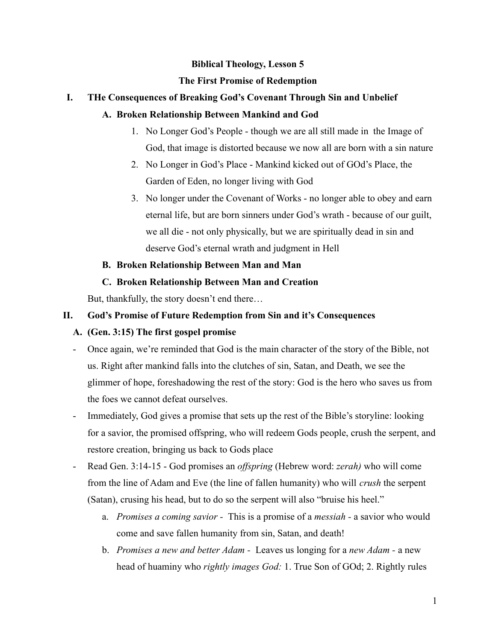#### **Biblical Theology, Lesson 5**

#### **The First Promise of Redemption**

## **I. THe Consequences of Breaking God's Covenant Through Sin and Unbelief**

### **A. Broken Relationship Between Mankind and God**

- 1. No Longer God's People though we are all still made in the Image of God, that image is distorted because we now all are born with a sin nature
- 2. No Longer in God's Place Mankind kicked out of GOd's Place, the Garden of Eden, no longer living with God
- 3. No longer under the Covenant of Works no longer able to obey and earn eternal life, but are born sinners under God's wrath - because of our guilt, we all die - not only physically, but we are spiritually dead in sin and deserve God's eternal wrath and judgment in Hell

## **B. Broken Relationship Between Man and Man**

## **C. Broken Relationship Between Man and Creation**

But, thankfully, the story doesn't end there…

## **II. God's Promise of Future Redemption from Sin and it's Consequences**

# **A. (Gen. 3:15) The first gospel promise**

- Once again, we're reminded that God is the main character of the story of the Bible, not us. Right after mankind falls into the clutches of sin, Satan, and Death, we see the glimmer of hope, foreshadowing the rest of the story: God is the hero who saves us from the foes we cannot defeat ourselves.
- Immediately, God gives a promise that sets up the rest of the Bible's storyline: looking for a savior, the promised offspring, who will redeem Gods people, crush the serpent, and restore creation, bringing us back to Gods place
- Read Gen. 3:14-15 God promises an *offspring* (Hebrew word: *zerah)* who will come from the line of Adam and Eve (the line of fallen humanity) who will *crush* the serpent (Satan), crusing his head, but to do so the serpent will also "bruise his heel."
	- a. *Promises a coming savior -* This is a promise of a *messiah -* a savior who would come and save fallen humanity from sin, Satan, and death!
	- b. *Promises a new and better Adam -* Leaves us longing for a *new Adam -* a new head of huaminy who *rightly images God:* 1. True Son of GOd; 2. Rightly rules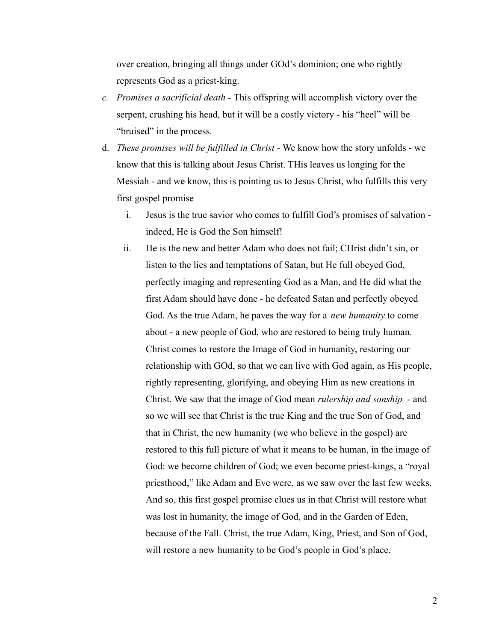over creation, bringing all things under GOd's dominion; one who rightly represents God as a priest-king.

- *c. Promises a sacrificial death -* This offspring will accomplish victory over the serpent, crushing his head, but it will be a costly victory - his "heel" will be "bruised" in the process.
- d. *These promises will be fulfilled in Christ -* We know how the story unfolds we know that this is talking about Jesus Christ. THis leaves us longing for the Messiah - and we know, this is pointing us to Jesus Christ, who fulfills this very first gospel promise
	- i. Jesus is the true savior who comes to fulfill God's promises of salvation indeed, He is God the Son himself!
	- ii. He is the new and better Adam who does not fail; CHrist didn't sin, or listen to the lies and temptations of Satan, but He full obeyed God, perfectly imaging and representing God as a Man, and He did what the first Adam should have done - he defeated Satan and perfectly obeyed God. As the true Adam, he paves the way for a *new humanity* to come about - a new people of God, who are restored to being truly human. Christ comes to restore the Image of God in humanity, restoring our relationship with GOd, so that we can live with God again, as His people, rightly representing, glorifying, and obeying Him as new creations in Christ. We saw that the image of God mean *rulership and sonship -* and so we will see that Christ is the true King and the true Son of God, and that in Christ, the new humanity (we who believe in the gospel) are restored to this full picture of what it means to be human, in the image of God: we become children of God; we even become priest-kings, a "royal priesthood," like Adam and Eve were, as we saw over the last few weeks. And so, this first gospel promise clues us in that Christ will restore what was lost in humanity, the image of God, and in the Garden of Eden, because of the Fall. Christ, the true Adam, King, Priest, and Son of God, will restore a new humanity to be God's people in God's place.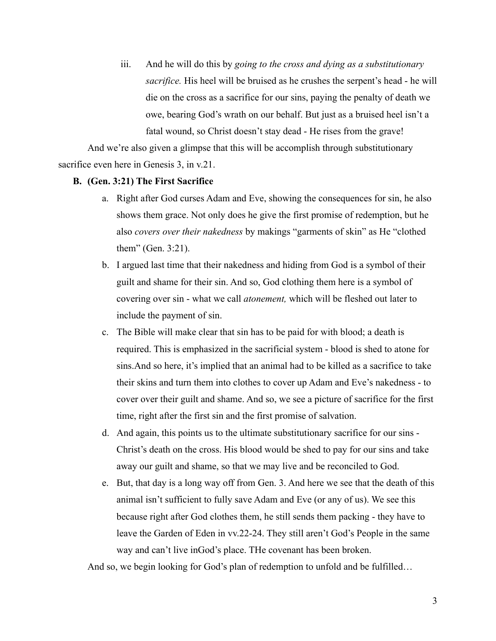iii. And he will do this by *going to the cross and dying as a substitutionary sacrifice.* His heel will be bruised as he crushes the serpent's head - he will die on the cross as a sacrifice for our sins, paying the penalty of death we owe, bearing God's wrath on our behalf. But just as a bruised heel isn't a fatal wound, so Christ doesn't stay dead - He rises from the grave!

And we're also given a glimpse that this will be accomplish through substitutionary sacrifice even here in Genesis 3, in v.21.

#### **B. (Gen. 3:21) The First Sacrifice**

- a. Right after God curses Adam and Eve, showing the consequences for sin, he also shows them grace. Not only does he give the first promise of redemption, but he also *covers over their nakedness* by makings "garments of skin" as He "clothed them" (Gen. 3:21).
- b. I argued last time that their nakedness and hiding from God is a symbol of their guilt and shame for their sin. And so, God clothing them here is a symbol of covering over sin - what we call *atonement,* which will be fleshed out later to include the payment of sin.
- c. The Bible will make clear that sin has to be paid for with blood; a death is required. This is emphasized in the sacrificial system - blood is shed to atone for sins.And so here, it's implied that an animal had to be killed as a sacrifice to take their skins and turn them into clothes to cover up Adam and Eve's nakedness - to cover over their guilt and shame. And so, we see a picture of sacrifice for the first time, right after the first sin and the first promise of salvation.
- d. And again, this points us to the ultimate substitutionary sacrifice for our sins Christ's death on the cross. His blood would be shed to pay for our sins and take away our guilt and shame, so that we may live and be reconciled to God.
- e. But, that day is a long way off from Gen. 3. And here we see that the death of this animal isn't sufficient to fully save Adam and Eve (or any of us). We see this because right after God clothes them, he still sends them packing - they have to leave the Garden of Eden in vv.22-24. They still aren't God's People in the same way and can't live inGod's place. THe covenant has been broken.

And so, we begin looking for God's plan of redemption to unfold and be fulfilled…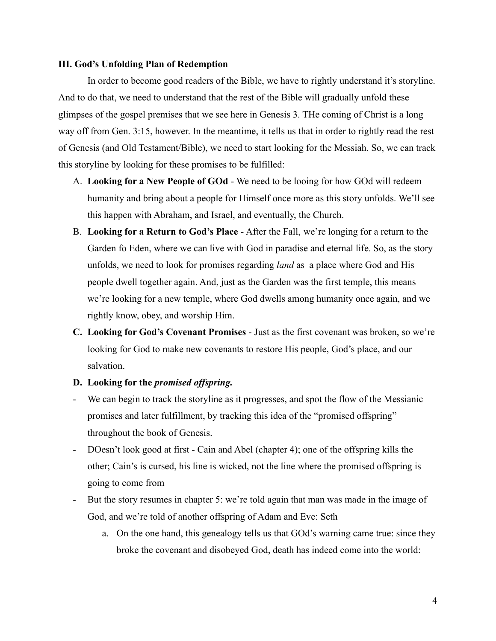#### **III. God's Unfolding Plan of Redemption**

In order to become good readers of the Bible, we have to rightly understand it's storyline. And to do that, we need to understand that the rest of the Bible will gradually unfold these glimpses of the gospel premises that we see here in Genesis 3. THe coming of Christ is a long way off from Gen. 3:15, however. In the meantime, it tells us that in order to rightly read the rest of Genesis (and Old Testament/Bible), we need to start looking for the Messiah. So, we can track this storyline by looking for these promises to be fulfilled:

- A. **Looking for a New People of GOd** We need to be looing for how GOd will redeem humanity and bring about a people for Himself once more as this story unfolds. We'll see this happen with Abraham, and Israel, and eventually, the Church.
- B. **Looking for a Return to God's Place** After the Fall, we're longing for a return to the Garden fo Eden, where we can live with God in paradise and eternal life. So, as the story unfolds, we need to look for promises regarding *land* as a place where God and His people dwell together again. And, just as the Garden was the first temple, this means we're looking for a new temple, where God dwells among humanity once again, and we rightly know, obey, and worship Him.
- **C. Looking for God's Covenant Promises** Just as the first covenant was broken, so we're looking for God to make new covenants to restore His people, God's place, and our salvation.

#### **D. Looking for the** *promised offspring.*

- We can begin to track the storyline as it progresses, and spot the flow of the Messianic promises and later fulfillment, by tracking this idea of the "promised offspring" throughout the book of Genesis.
- DOesn't look good at first Cain and Abel (chapter 4); one of the offspring kills the other; Cain's is cursed, his line is wicked, not the line where the promised offspring is going to come from
- But the story resumes in chapter 5: we're told again that man was made in the image of God, and we're told of another offspring of Adam and Eve: Seth
	- a. On the one hand, this genealogy tells us that GOd's warning came true: since they broke the covenant and disobeyed God, death has indeed come into the world: